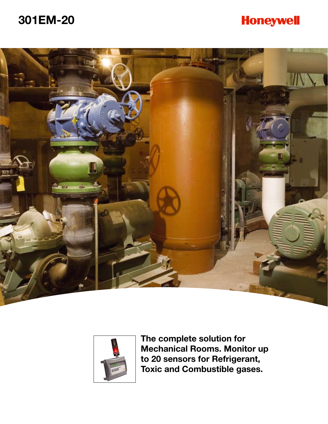# **301EM-20**

# **Honeywell**





**The complete solution for Mechanical Rooms. Monitor up to 20 sensors for Refrigerant, Toxic and Combustible gases.**